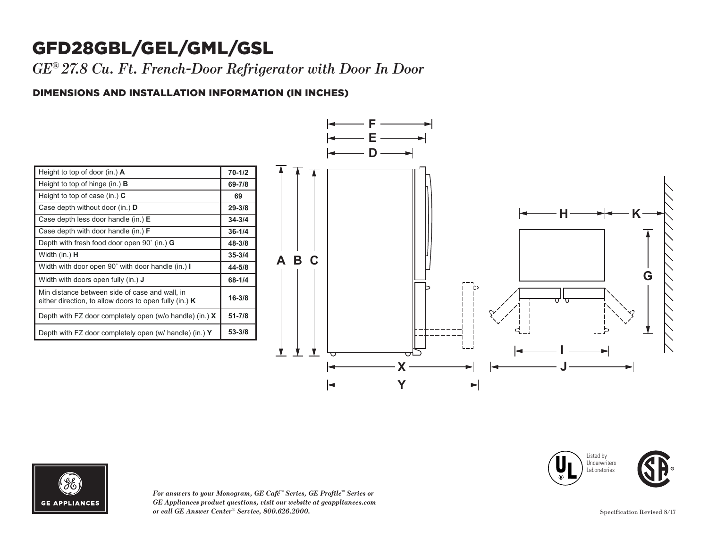## GFD28GBL/GEL/GML/GSL

*GE® 27.8 Cu. Ft. French-Door Refrigerator with Door In Door*

### DIMENSIONS AND INSTALLATION INFORMATION (IN INCHES) **I**

| Height to top of door (in.) $\bf{A}$                                                                       | $70 - 1/2$ |
|------------------------------------------------------------------------------------------------------------|------------|
| Height to top of hinge (in.) $\bf{B}$                                                                      | 69-7/8     |
| Height to top of case (in.) $C$                                                                            | 69         |
| Case depth without door (in.) <b>D</b>                                                                     | 29-3/8     |
| Case depth less door handle (in.) E                                                                        | $34 - 3/4$ |
| Case depth with door handle (in.) $F$                                                                      | $36 - 1/4$ |
| Depth with fresh food door open $90^{\circ}$ (in.) G                                                       | 48-3/8     |
| Width (in.) <b>H</b>                                                                                       | $35 - 3/4$ |
| Width with door open 90° with door handle (in.) I                                                          | 44-5/8     |
| Width with doors open fully (in.) <b>J</b>                                                                 | 68-1/4     |
| Min distance between side of case and wall, in<br>either direction, to allow doors to open fully (in.) $K$ | $16 - 3/8$ |
| Depth with FZ door completely open (w/o handle) (in.) $X$                                                  | $51 - 7/8$ |
| Depth with FZ door completely open (w/ handle) (in.) Y                                                     | $53 - 3/8$ |









*For answers to your Monogram, GE Café™ Series, GE Profile™ Series or*   $GE$  *Appliances product questions, visit our website at geappliances.com or call GE Answer Center® Service, 800.626.2000.* Specification Revised 8/17